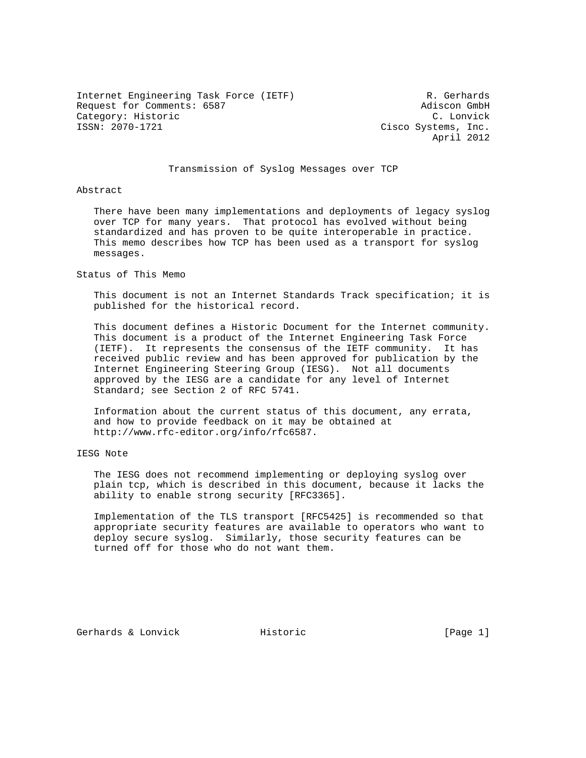Internet Engineering Task Force (IETF) R. Gerhards Request for Comments: 6587 Adiscon GmbH Category: Historic C. Lonvick C. Lonvick<br>
ISSN: 2070-1721 Cisco Systems. Inc.

Cisco Systems, Inc. April 2012

# Transmission of Syslog Messages over TCP

Abstract

 There have been many implementations and deployments of legacy syslog over TCP for many years. That protocol has evolved without being standardized and has proven to be quite interoperable in practice. This memo describes how TCP has been used as a transport for syslog messages.

Status of This Memo

 This document is not an Internet Standards Track specification; it is published for the historical record.

 This document defines a Historic Document for the Internet community. This document is a product of the Internet Engineering Task Force (IETF). It represents the consensus of the IETF community. It has received public review and has been approved for publication by the Internet Engineering Steering Group (IESG). Not all documents approved by the IESG are a candidate for any level of Internet Standard; see Section 2 of RFC 5741.

 Information about the current status of this document, any errata, and how to provide feedback on it may be obtained at http://www.rfc-editor.org/info/rfc6587.

IESG Note

 The IESG does not recommend implementing or deploying syslog over plain tcp, which is described in this document, because it lacks the ability to enable strong security [RFC3365].

 Implementation of the TLS transport [RFC5425] is recommended so that appropriate security features are available to operators who want to deploy secure syslog. Similarly, those security features can be turned off for those who do not want them.

Gerhards & Lonvick and Historic and Historic (Page 1)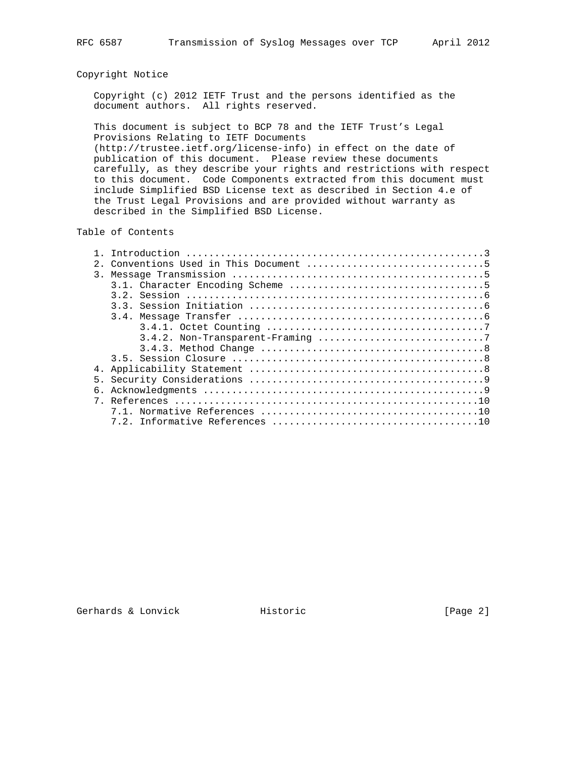# Copyright Notice

 Copyright (c) 2012 IETF Trust and the persons identified as the document authors. All rights reserved.

 This document is subject to BCP 78 and the IETF Trust's Legal Provisions Relating to IETF Documents

 (http://trustee.ietf.org/license-info) in effect on the date of publication of this document. Please review these documents carefully, as they describe your rights and restrictions with respect to this document. Code Components extracted from this document must include Simplified BSD License text as described in Section 4.e of the Trust Legal Provisions and are provided without warranty as described in the Simplified BSD License.

# Table of Contents

| 3. |  |
|----|--|
|    |  |
|    |  |
|    |  |
|    |  |
|    |  |
|    |  |
|    |  |
|    |  |
|    |  |
| 5. |  |
|    |  |
|    |  |
|    |  |
|    |  |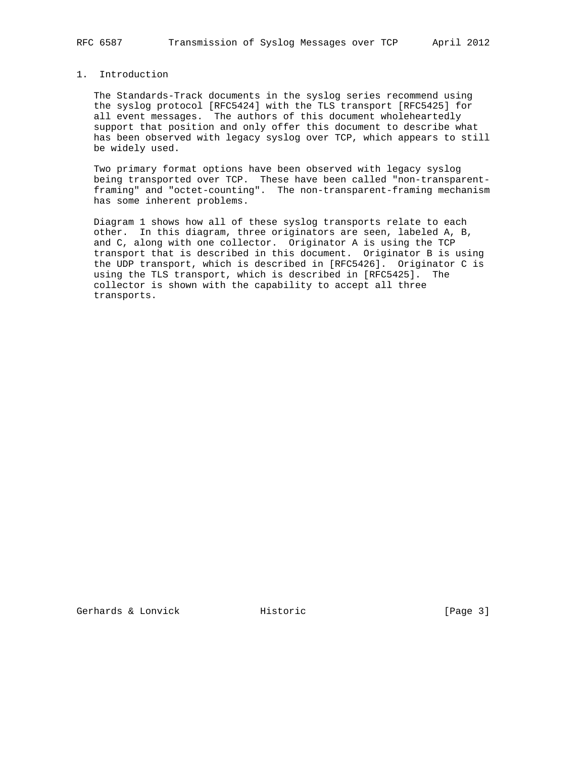# 1. Introduction

 The Standards-Track documents in the syslog series recommend using the syslog protocol [RFC5424] with the TLS transport [RFC5425] for all event messages. The authors of this document wholeheartedly support that position and only offer this document to describe what has been observed with legacy syslog over TCP, which appears to still be widely used.

 Two primary format options have been observed with legacy syslog being transported over TCP. These have been called "non-transparent framing" and "octet-counting". The non-transparent-framing mechanism has some inherent problems.

 Diagram 1 shows how all of these syslog transports relate to each other. In this diagram, three originators are seen, labeled A, B, and C, along with one collector. Originator A is using the TCP transport that is described in this document. Originator B is using the UDP transport, which is described in [RFC5426]. Originator C is using the TLS transport, which is described in [RFC5425]. The collector is shown with the capability to accept all three transports.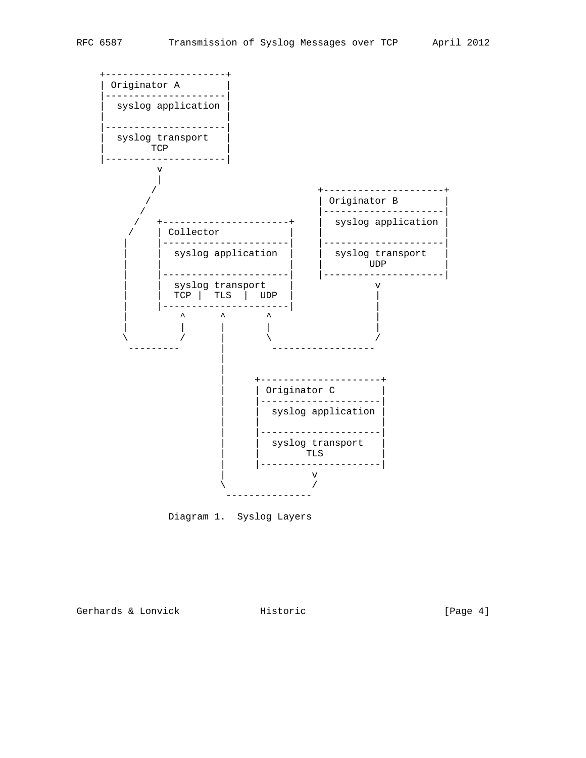

Diagram 1. Syslog Layers

Gerhards & Lonvick Historic Filter Historic (Page 4)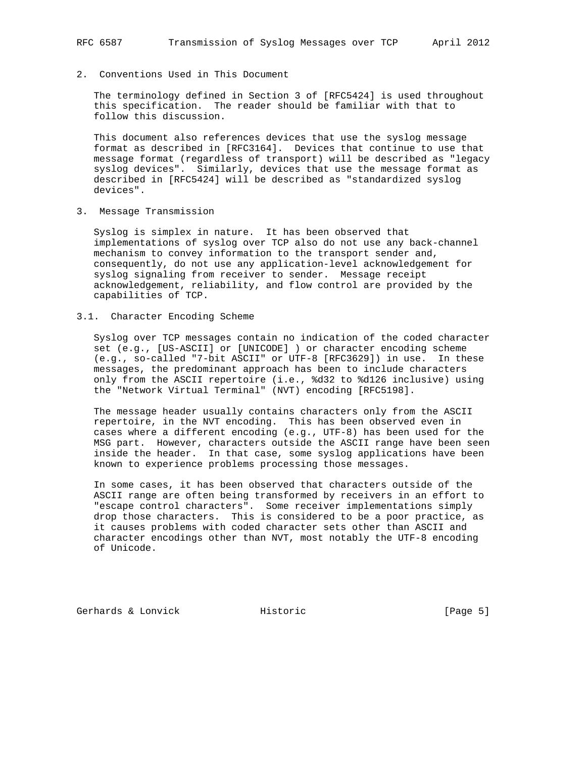2. Conventions Used in This Document

 The terminology defined in Section 3 of [RFC5424] is used throughout this specification. The reader should be familiar with that to follow this discussion.

 This document also references devices that use the syslog message format as described in [RFC3164]. Devices that continue to use that message format (regardless of transport) will be described as "legacy syslog devices". Similarly, devices that use the message format as described in [RFC5424] will be described as "standardized syslog devices".

3. Message Transmission

 Syslog is simplex in nature. It has been observed that implementations of syslog over TCP also do not use any back-channel mechanism to convey information to the transport sender and, consequently, do not use any application-level acknowledgement for syslog signaling from receiver to sender. Message receipt acknowledgement, reliability, and flow control are provided by the capabilities of TCP.

3.1. Character Encoding Scheme

 Syslog over TCP messages contain no indication of the coded character set (e.g., [US-ASCII] or [UNICODE] ) or character encoding scheme (e.g., so-called "7-bit ASCII" or UTF-8 [RFC3629]) in use. In these messages, the predominant approach has been to include characters only from the ASCII repertoire (i.e., %d32 to %d126 inclusive) using the "Network Virtual Terminal" (NVT) encoding [RFC5198].

 The message header usually contains characters only from the ASCII repertoire, in the NVT encoding. This has been observed even in cases where a different encoding (e.g., UTF-8) has been used for the MSG part. However, characters outside the ASCII range have been seen inside the header. In that case, some syslog applications have been known to experience problems processing those messages.

 In some cases, it has been observed that characters outside of the ASCII range are often being transformed by receivers in an effort to "escape control characters". Some receiver implementations simply drop those characters. This is considered to be a poor practice, as it causes problems with coded character sets other than ASCII and character encodings other than NVT, most notably the UTF-8 encoding of Unicode.

Gerhards & Lonvick and Historic and Historic (Page 5)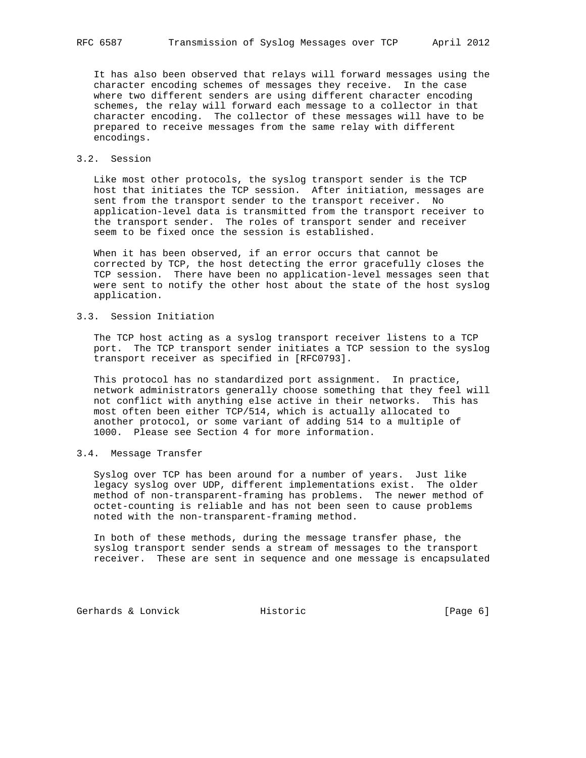It has also been observed that relays will forward messages using the character encoding schemes of messages they receive. In the case where two different senders are using different character encoding schemes, the relay will forward each message to a collector in that character encoding. The collector of these messages will have to be prepared to receive messages from the same relay with different encodings.

# 3.2. Session

 Like most other protocols, the syslog transport sender is the TCP host that initiates the TCP session. After initiation, messages are sent from the transport sender to the transport receiver. No application-level data is transmitted from the transport receiver to the transport sender. The roles of transport sender and receiver seem to be fixed once the session is established.

 When it has been observed, if an error occurs that cannot be corrected by TCP, the host detecting the error gracefully closes the TCP session. There have been no application-level messages seen that were sent to notify the other host about the state of the host syslog application.

#### 3.3. Session Initiation

 The TCP host acting as a syslog transport receiver listens to a TCP port. The TCP transport sender initiates a TCP session to the syslog transport receiver as specified in [RFC0793].

 This protocol has no standardized port assignment. In practice, network administrators generally choose something that they feel will not conflict with anything else active in their networks. This has most often been either TCP/514, which is actually allocated to another protocol, or some variant of adding 514 to a multiple of 1000. Please see Section 4 for more information.

# 3.4. Message Transfer

 Syslog over TCP has been around for a number of years. Just like legacy syslog over UDP, different implementations exist. The older method of non-transparent-framing has problems. The newer method of octet-counting is reliable and has not been seen to cause problems noted with the non-transparent-framing method.

 In both of these methods, during the message transfer phase, the syslog transport sender sends a stream of messages to the transport receiver. These are sent in sequence and one message is encapsulated

Gerhards & Lonvick **Historic** Historic **Historic** [Page 6]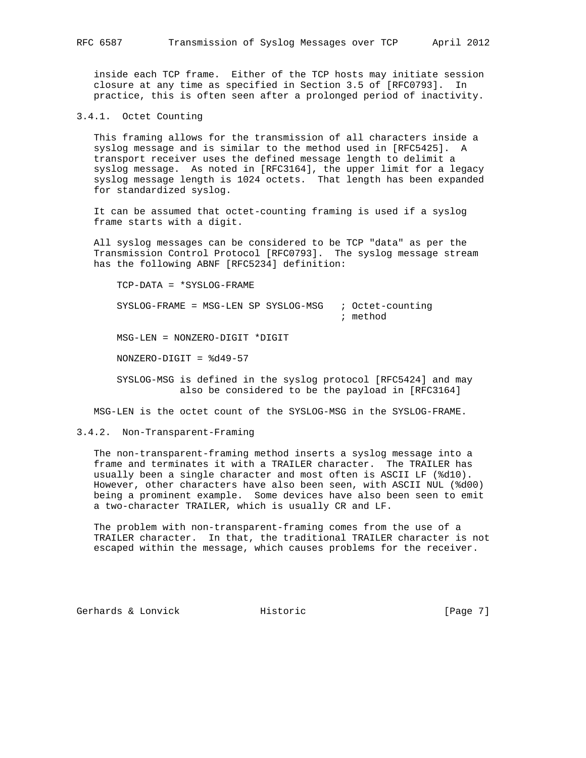inside each TCP frame. Either of the TCP hosts may initiate session closure at any time as specified in Section 3.5 of [RFC0793]. In practice, this is often seen after a prolonged period of inactivity.

3.4.1. Octet Counting

 This framing allows for the transmission of all characters inside a syslog message and is similar to the method used in [RFC5425]. A transport receiver uses the defined message length to delimit a syslog message. As noted in [RFC3164], the upper limit for a legacy syslog message length is 1024 octets. That length has been expanded for standardized syslog.

 It can be assumed that octet-counting framing is used if a syslog frame starts with a digit.

 All syslog messages can be considered to be TCP "data" as per the Transmission Control Protocol [RFC0793]. The syslog message stream has the following ABNF [RFC5234] definition:

 TCP-DATA = \*SYSLOG-FRAME SYSLOG-FRAME = MSG-LEN SP SYSLOG-MSG ; Octet-counting ; method MSG-LEN = NONZERO-DIGIT \*DIGIT NONZERO-DIGIT = %d49-57

 SYSLOG-MSG is defined in the syslog protocol [RFC5424] and may also be considered to be the payload in [RFC3164]

MSG-LEN is the octet count of the SYSLOG-MSG in the SYSLOG-FRAME.

### 3.4.2. Non-Transparent-Framing

 The non-transparent-framing method inserts a syslog message into a frame and terminates it with a TRAILER character. The TRAILER has usually been a single character and most often is ASCII LF (%d10). However, other characters have also been seen, with ASCII NUL (%d00) being a prominent example. Some devices have also been seen to emit a two-character TRAILER, which is usually CR and LF.

 The problem with non-transparent-framing comes from the use of a TRAILER character. In that, the traditional TRAILER character is not escaped within the message, which causes problems for the receiver.

Gerhards & Lonvick and Historic and Historic (Page 7)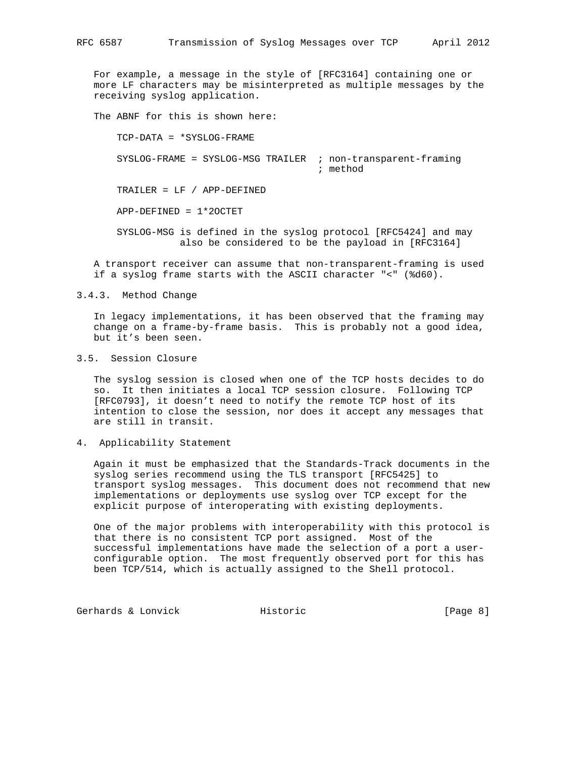For example, a message in the style of [RFC3164] containing one or more LF characters may be misinterpreted as multiple messages by the receiving syslog application.

The ABNF for this is shown here:

 TCP-DATA = \*SYSLOG-FRAME SYSLOG-FRAME = SYSLOG-MSG TRAILER ; non-transparent-framing ; method TRAILER = LF / APP-DEFINED APP-DEFINED = 1\*2OCTET SYSLOG-MSG is defined in the syslog protocol [RFC5424] and may also be considered to be the payload in [RFC3164]

 A transport receiver can assume that non-transparent-framing is used if a syslog frame starts with the ASCII character "<" (%d60).

3.4.3. Method Change

 In legacy implementations, it has been observed that the framing may change on a frame-by-frame basis. This is probably not a good idea, but it's been seen.

# 3.5. Session Closure

 The syslog session is closed when one of the TCP hosts decides to do so. It then initiates a local TCP session closure. Following TCP [RFC0793], it doesn't need to notify the remote TCP host of its intention to close the session, nor does it accept any messages that are still in transit.

4. Applicability Statement

 Again it must be emphasized that the Standards-Track documents in the syslog series recommend using the TLS transport [RFC5425] to transport syslog messages. This document does not recommend that new implementations or deployments use syslog over TCP except for the explicit purpose of interoperating with existing deployments.

 One of the major problems with interoperability with this protocol is that there is no consistent TCP port assigned. Most of the successful implementations have made the selection of a port a user configurable option. The most frequently observed port for this has been TCP/514, which is actually assigned to the Shell protocol.

Gerhards & Lonvick Thistoric Entertainment (Page 8)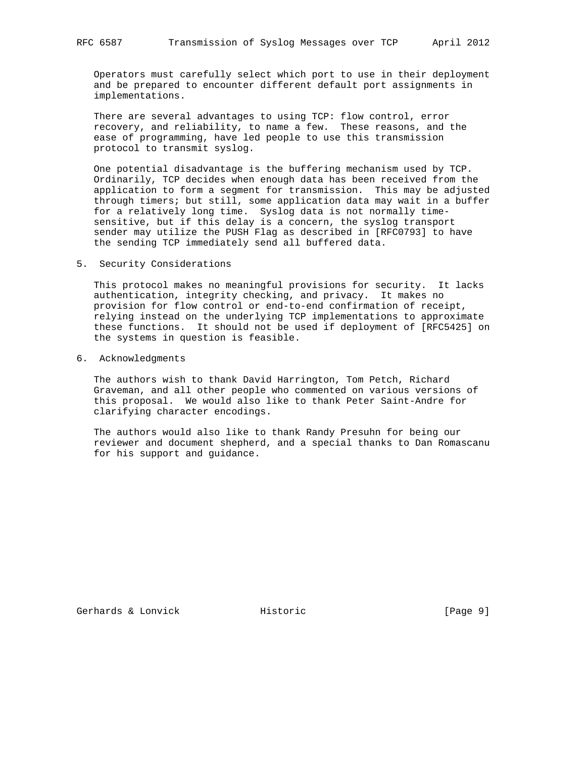Operators must carefully select which port to use in their deployment and be prepared to encounter different default port assignments in implementations.

 There are several advantages to using TCP: flow control, error recovery, and reliability, to name a few. These reasons, and the ease of programming, have led people to use this transmission protocol to transmit syslog.

 One potential disadvantage is the buffering mechanism used by TCP. Ordinarily, TCP decides when enough data has been received from the application to form a segment for transmission. This may be adjusted through timers; but still, some application data may wait in a buffer for a relatively long time. Syslog data is not normally time sensitive, but if this delay is a concern, the syslog transport sender may utilize the PUSH Flag as described in [RFC0793] to have the sending TCP immediately send all buffered data.

5. Security Considerations

 This protocol makes no meaningful provisions for security. It lacks authentication, integrity checking, and privacy. It makes no provision for flow control or end-to-end confirmation of receipt, relying instead on the underlying TCP implementations to approximate these functions. It should not be used if deployment of [RFC5425] on the systems in question is feasible.

6. Acknowledgments

 The authors wish to thank David Harrington, Tom Petch, Richard Graveman, and all other people who commented on various versions of this proposal. We would also like to thank Peter Saint-Andre for clarifying character encodings.

 The authors would also like to thank Randy Presuhn for being our reviewer and document shepherd, and a special thanks to Dan Romascanu for his support and guidance.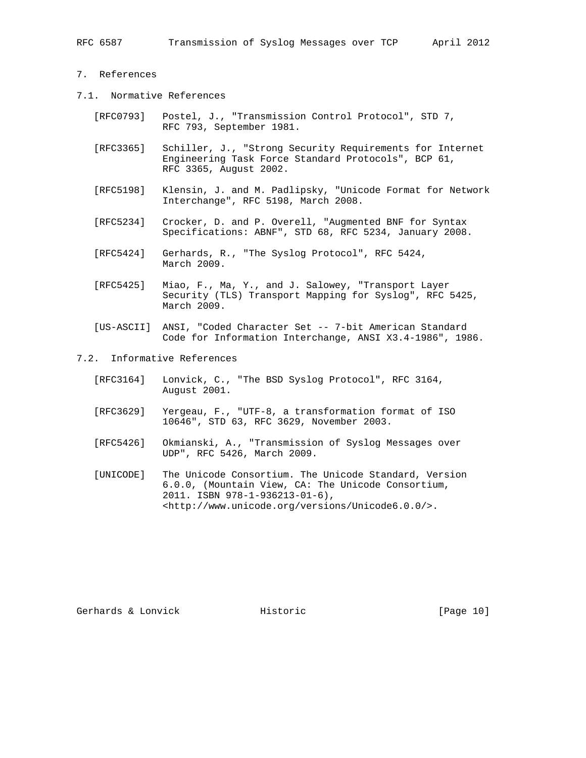## 7. References

- 7.1. Normative References
	- [RFC0793] Postel, J., "Transmission Control Protocol", STD 7, RFC 793, September 1981.
	- [RFC3365] Schiller, J., "Strong Security Requirements for Internet Engineering Task Force Standard Protocols", BCP 61, RFC 3365, August 2002.
	- [RFC5198] Klensin, J. and M. Padlipsky, "Unicode Format for Network Interchange", RFC 5198, March 2008.
	- [RFC5234] Crocker, D. and P. Overell, "Augmented BNF for Syntax Specifications: ABNF", STD 68, RFC 5234, January 2008.
	- [RFC5424] Gerhards, R., "The Syslog Protocol", RFC 5424, March 2009.
	- [RFC5425] Miao, F., Ma, Y., and J. Salowey, "Transport Layer Security (TLS) Transport Mapping for Syslog", RFC 5425, March 2009.
	- [US-ASCII] ANSI, "Coded Character Set -- 7-bit American Standard Code for Information Interchange, ANSI X3.4-1986", 1986.

7.2. Informative References

- [RFC3164] Lonvick, C., "The BSD Syslog Protocol", RFC 3164, August 2001.
- [RFC3629] Yergeau, F., "UTF-8, a transformation format of ISO 10646", STD 63, RFC 3629, November 2003.
- [RFC5426] Okmianski, A., "Transmission of Syslog Messages over UDP", RFC 5426, March 2009.
- [UNICODE] The Unicode Consortium. The Unicode Standard, Version 6.0.0, (Mountain View, CA: The Unicode Consortium, 2011. ISBN 978-1-936213-01-6), <http://www.unicode.org/versions/Unicode6.0.0/>.

Gerhards & Lonvick **Historic** Historic [Page 10]